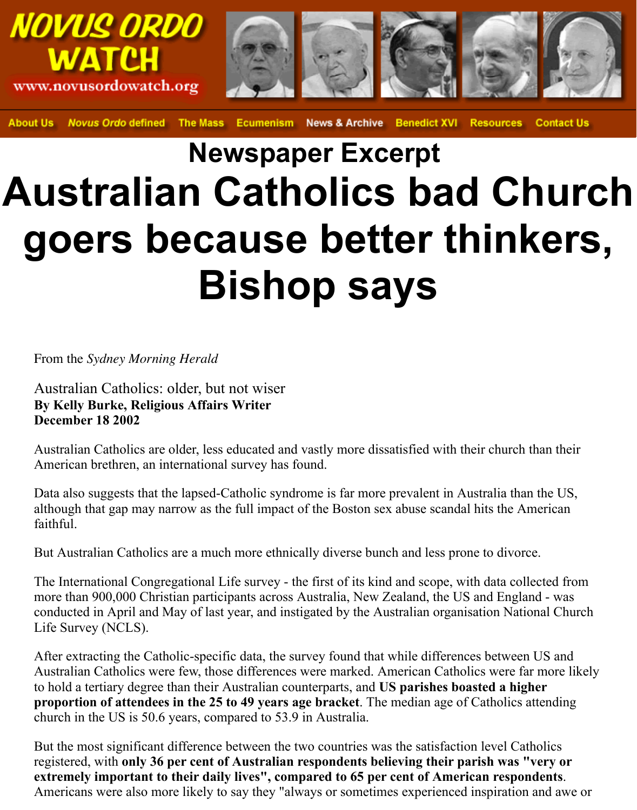

**Novus Ordo defined** The Mass **News & Archive Benedict XVI Contact Us About Us Ecumenism Resources** 

## **Newspaper Excerpt Australian Catholics bad Church goers because better thinkers, Bishop says**

From the *Sydney Morning Herald*

Australian Catholics: older, but not wiser **By Kelly Burke, Religious Affairs Writer December 18 2002**

Australian Catholics are older, less educated and vastly more dissatisfied with their church than their American brethren, an international survey has found.

Data also suggests that the lapsed-Catholic syndrome is far more prevalent in Australia than the US, although that gap may narrow as the full impact of the Boston sex abuse scandal hits the American faithful.

But Australian Catholics are a much more ethnically diverse bunch and less prone to divorce.

The International Congregational Life survey - the first of its kind and scope, with data collected from more than 900,000 Christian participants across Australia, New Zealand, the US and England - was conducted in April and May of last year, and instigated by the Australian organisation National Church Life Survey (NCLS).

After extracting the Catholic-specific data, the survey found that while differences between US and Australian Catholics were few, those differences were marked. American Catholics were far more likely to hold a tertiary degree than their Australian counterparts, and **US parishes boasted a higher proportion of attendees in the 25 to 49 years age bracket**. The median age of Catholics attending church in the US is 50.6 years, compared to 53.9 in Australia.

But the most significant difference between the two countries was the satisfaction level Catholics registered, with **only 36 per cent of Australian respondents believing their parish was "very or extremely important to their daily lives", compared to 65 per cent of American respondents**. Americans were also more likely to say they "always or sometimes experienced inspiration and awe or